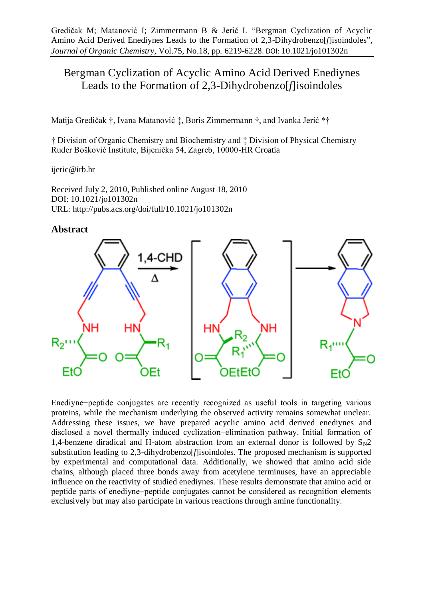# Bergman Cyclization of Acyclic Amino Acid Derived Enediynes Leads to the Formation of 2,3-Dihydrobenzo[*f*]isoindoles

Matija Gredičak †, Ivana Matanović ‡, Boris Zimmermann †, and Ivanka Jerić \*†

† Division of Organic Chemistry and Biochemistry and ‡ Division of Physical Chemistry Ruđer Bošković Institute, Bijenička 54, Zagreb, 10000-HR Croatia

ijeric@irb.hr

Received July 2, 2010, Published online August 18, 2010 DOI: 10.1021/jo101302n URL: http://pubs.acs.org/doi/full/10.1021/jo101302n

## **Abstract**



Enediyne−peptide conjugates are recently recognized as useful tools in targeting various proteins, while the mechanism underlying the observed activity remains somewhat unclear. Addressing these issues, we have prepared acyclic amino acid derived enediynes and disclosed a novel thermally induced cyclization−elimination pathway. Initial formation of 1,4-benzene diradical and H-atom abstraction from an external donor is followed by  $S_N2$ substitution leading to 2,3-dihydrobenzo[*f*]isoindoles. The proposed mechanism is supported by experimental and computational data. Additionally, we showed that amino acid side chains, although placed three bonds away from acetylene terminuses, have an appreciable influence on the reactivity of studied enediynes. These results demonstrate that amino acid or peptide parts of enediyne−peptide conjugates cannot be considered as recognition elements exclusively but may also participate in various reactions through amine functionality.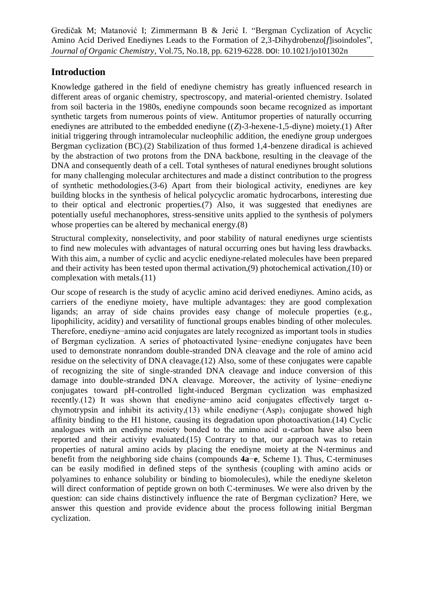# **Introduction**

Knowledge gathered in the field of enediyne chemistry has greatly influenced research in different areas of organic chemistry, spectroscopy, and material-oriented chemistry. Isolated from soil bacteria in the 1980s, enediyne compounds soon became recognized as important synthetic targets from numerous points of view. Antitumor properties of naturally occurring enediynes are attributed to the embedded enediyne ((*Z*)-3-hexene-1,5-diyne) moiety.(1) After initial triggering through intramolecular nucleophilic addition, the enediyne group undergoes Bergman cyclization (BC).(2) Stabilization of thus formed 1,4-benzene diradical is achieved by the abstraction of two protons from the DNA backbone, resulting in the cleavage of the DNA and consequently death of a cell. Total syntheses of natural enediynes brought solutions for many challenging molecular architectures and made a distinct contribution to the progress of synthetic methodologies.(3-6) Apart from their biological activity, enediynes are key building blocks in the synthesis of helical polycyclic aromatic hydrocarbons, interesting due to their optical and electronic properties.(7) Also, it was suggested that enediynes are potentially useful mechanophores, stress-sensitive units applied to the synthesis of polymers whose properties can be altered by mechanical energy.(8)

Structural complexity, nonselectivity, and poor stability of natural enediynes urge scientists to find new molecules with advantages of natural occurring ones but having less drawbacks. With this aim, a number of cyclic and acyclic enediyne-related molecules have been prepared and their activity has been tested upon thermal activation,(9) photochemical activation,(10) or complexation with metals.(11)

Our scope of research is the study of acyclic amino acid derived enediynes. Amino acids, as carriers of the enediyne moiety, have multiple advantages: they are good complexation ligands; an array of side chains provides easy change of molecule properties (e.g., lipophilicity, acidity) and versatility of functional groups enables binding of other molecules. Therefore, enediyne−amino acid conjugates are lately recognized as important tools in studies of Bergman cyclization. A series of photoactivated lysine−enediyne conjugates have been used to demonstrate nonrandom double-stranded DNA cleavage and the role of amino acid residue on the selectivity of DNA cleavage.(12) Also, some of these conjugates were capable of recognizing the site of single-stranded DNA cleavage and induce conversion of this damage into double-stranded DNA cleavage. Moreover, the activity of lysine−enediyne conjugates toward pH-controlled light-induced Bergman cyclization was emphasized recently.(12) It was shown that enediyne−amino acid conjugates effectively target αchymotrypsin and inhibit its activity, $(13)$  while enediyne− $(Asp)$ <sub>3</sub> conjugate showed high affinity binding to the H1 histone, causing its degradation upon photoactivation.(14) Cyclic analogues with an enediyne moiety bonded to the amino acid α-carbon have also been reported and their activity evaluated.(15) Contrary to that, our approach was to retain properties of natural amino acids by placing the enediyne moiety at the N-terminus and benefit from the neighboring side chains (compounds **4a**−**e**, Scheme 1). Thus, C-terminuses can be easily modified in defined steps of the synthesis (coupling with amino acids or polyamines to enhance solubility or binding to biomolecules), while the enediyne skeleton will direct conformation of peptide grown on both C-terminuses. We were also driven by the question: can side chains distinctively influence the rate of Bergman cyclization? Here, we answer this question and provide evidence about the process following initial Bergman cyclization.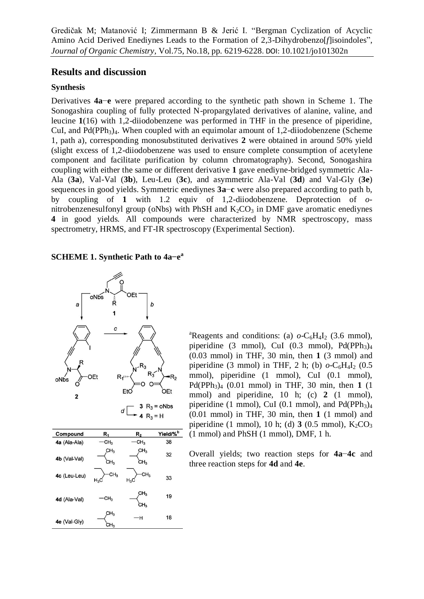# **Results and discussion**

#### **Synthesis**

Derivatives **4a**−**e** were prepared according to the synthetic path shown in Scheme 1. The Sonogashira coupling of fully protected N-propargylated derivatives of alanine, valine, and leucine **1**(16) with 1,2-diiodobenzene was performed in THF in the presence of piperidine, CuI, and Pd(PPh<sub>3</sub>)<sub>4</sub>. When coupled with an equimolar amount of 1,2-diiodobenzene (Scheme) 1, path a), corresponding monosubstituted derivatives **2** were obtained in around 50% yield (slight excess of 1,2-diiodobenzene was used to ensure complete consumption of acetylene component and facilitate purification by column chromatography). Second, Sonogashira coupling with either the same or different derivative **1** gave enediyne-bridged symmetric Ala-Ala (**3a**), Val-Val (**3b**), Leu-Leu (**3c**), and asymmetric Ala-Val (**3d**) and Val-Gly (**3e**) sequences in good yields. Symmetric enediynes **3a**−**c** were also prepared according to path b, by coupling of **1** with 1.2 equiv of 1,2-diiodobenzene. Deprotection of *o*nitrobenzenesulfonyl group (oNbs) with PhSH and  $K_2CO_3$  in DMF gave aromatic enediynes **4** in good yields. All compounds were characterized by NMR spectroscopy, mass spectrometry, HRMS, and FT-IR spectroscopy (Experimental Section).

# **SCHEME 1. Synthetic Path to 4a−e a**



| Compound     | R,                        | $R_2$                              | Yield/% <sup>b</sup> |
|--------------|---------------------------|------------------------------------|----------------------|
| 4a (Ala-Ala) | CH <sub>3</sub>           | CH <sub>3</sub>                    | 38                   |
| 4b (Val-Val) | CH <sub>3</sub><br>СH3    | CH <sub>3</sub><br>CH <sub>3</sub> | 32                   |
| 4c (Leu-Leu) | CH <sub>3</sub><br>$H_3C$ | CH <sub>3</sub><br>$H_3C$          | 33                   |
| 4d (Ala-Val) | CH <sub>3</sub>           | CH <sub>3</sub><br>CH <sub>3</sub> | 19                   |
| 4e (Val-Gly) | CH <sub>3</sub><br>CH3    | -н                                 | 18                   |

<sup>a</sup>Reagents and conditions: (a)  $o$ -C<sub>6</sub>H<sub>4</sub>I<sub>2</sub> (3.6 mmol), piperidine (3 mmol), CuI (0.3 mmol), Pd(PPh<sub>3</sub>)<sub>4</sub> (0.03 mmol) in THF, 30 min, then **1** (3 mmol) and piperidine (3 mmol) in THF, 2 h; (b)  $o$ -C<sub>6</sub>H<sub>4</sub>I<sub>2</sub> (0.5) mmol), piperidine (1 mmol), CuI (0.1 mmol), Pd(PPh<sub>3</sub>)<sub>4</sub> (0.01 mmol) in THF, 30 min, then **1** (1) mmol) and piperidine, 10 h; (c) 2 (1 mmol), piperidine (1 mmol), CuI (0.1 mmol), and  $Pd(PPh<sub>3</sub>)<sub>4</sub>$ (0.01 mmol) in THF, 30 min, then **1** (1 mmol) and piperidine (1 mmol), 10 h; (d)  $3(0.5 \text{ mmol})$ ,  $K_2CO_3$ (1 mmol) and PhSH (1 mmol), DMF, 1 h.

Overall yields; two reaction steps for **4a**−**4c** and three reaction steps for **4d** and **4e**.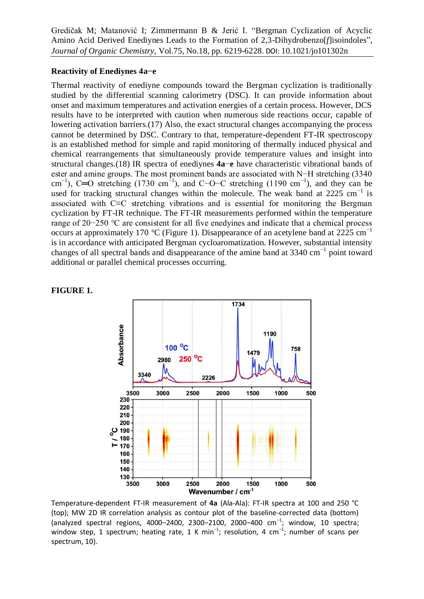#### **Reactivity of Enediynes 4a−e**

Thermal reactivity of enediyne compounds toward the Bergman cyclization is traditionally studied by the differential scanning calorimetry (DSC). It can provide information about onset and maximum temperatures and activation energies of a certain process. However, DCS results have to be interpreted with caution when numerous side reactions occur, capable of lowering activation barriers.(17) Also, the exact structural changes accompanying the process cannot be determined by DSC. Contrary to that, temperature-dependent FT-IR spectroscopy is an established method for simple and rapid monitoring of thermally induced physical and chemical rearrangements that simultaneously provide temperature values and insight into structural changes.(18) IR spectra of enediynes **4a**−**e** have characteristic vibrational bands of ester and amine groups. The most prominent bands are associated with N−H stretching (3340 cm<sup>-1</sup>), C=O stretching (1730 cm<sup>-1</sup>), and C−O−C stretching (1190 cm<sup>-1</sup>), and they can be used for tracking structural changes within the molecule. The weak band at 2225 cm<sup>-1</sup> is associated with C≡C stretching vibrations and is essential for monitoring the Bergman cyclization by FT-IR technique. The FT-IR measurements performed within the temperature range of 20−250 °C are consistent for all five enedyines and indicate that a chemical process occurs at approximately 170 °C (Figure 1). Disappearance of an acetylene band at 2225 cm<sup>-1</sup> is in accordance with anticipated Bergman cycloaromatization. However, substantial intensity changes of all spectral bands and disappearance of the amine band at 3340 cm<sup>-1</sup> point toward additional or parallel chemical processes occurring.



**FIGURE 1.** 

Temperature-dependent FT-IR measurement of **4a** (Ala-Ala): FT-IR spectra at 100 and 250 °C (top); MW 2D IR correlation analysis as contour plot of the baseline-corrected data (bottom) (analyzed spectral regions, 4000−2400, 2300−2100, 2000−400 cm<sup>−</sup><sup>1</sup> ; window, 10 spectra; window step, 1 spectrum; heating rate, 1 K min<sup>-1</sup>; resolution, 4 cm<sup>-1</sup>; number of scans per spectrum, 10).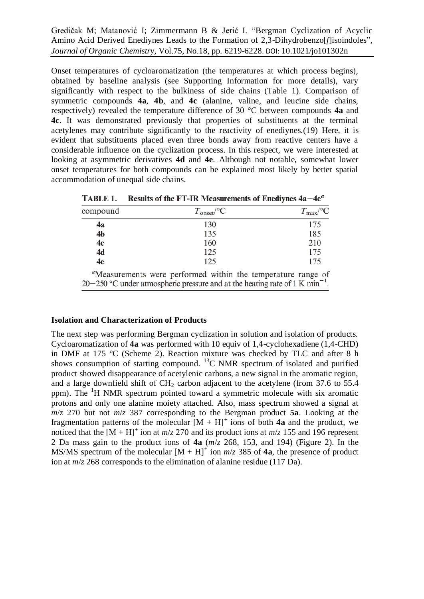Onset temperatures of cycloaromatization (the temperatures at which process begins), obtained by baseline analysis (see Supporting Information for more details), vary significantly with respect to the bulkiness of side chains (Table 1). Comparison of symmetric compounds **4a**, **4b**, and **4c** (alanine, valine, and leucine side chains, respectively) revealed the temperature difference of 30 °C between compounds **4a** and **4c**. It was demonstrated previously that properties of substituents at the terminal acetylenes may contribute significantly to the reactivity of enediynes.(19) Here, it is evident that substituents placed even three bonds away from reactive centers have a considerable influence on the cyclization process. In this respect, we were interested at looking at asymmetric derivatives **4d** and **4e**. Although not notable, somewhat lower onset temperatures for both compounds can be explained most likely by better spatial accommodation of unequal side chains.

| compound       | $T_{\text{onset}}$ <sup>o</sup> C |     |  |     |                                                              | $T_{\rm max}$ <sup>o</sup> C |  |  |
|----------------|-----------------------------------|-----|--|-----|--------------------------------------------------------------|------------------------------|--|--|
| 4a             |                                   | 130 |  |     |                                                              | 175                          |  |  |
| 4 <sub>b</sub> |                                   | 135 |  |     |                                                              | 185                          |  |  |
| 4c             |                                   | 160 |  | 210 |                                                              |                              |  |  |
| 4d             |                                   | 125 |  |     |                                                              | 175                          |  |  |
| 4e             |                                   | 125 |  |     |                                                              | 175                          |  |  |
|                |                                   |     |  |     | "Measurements were performed within the temperature range of |                              |  |  |

TABLE 1. Results of the FT-IR Measurements of Enedivnes  $4a-4e^a$ 

# 20–250 °C under atmospheric pressure and at the heating rate of  $1 \text{ K min}^{-1}$ .

# **Isolation and Characterization of Products**

The next step was performing Bergman cyclization in solution and isolation of products. Cycloaromatization of **4a** was performed with 10 equiv of 1,4-cyclohexadiene (1,4-CHD) in DMF at 175 °C (Scheme 2). Reaction mixture was checked by TLC and after 8 h shows consumption of starting compound.  ${}^{13}C$  NMR spectrum of isolated and purified product showed disappearance of acetylenic carbons, a new signal in the aromatic region, and a large downfield shift of  $CH<sub>2</sub>$  carbon adjacent to the acetylene (from 37.6 to 55.4 ppm). The <sup>1</sup>H NMR spectrum pointed toward a symmetric molecule with six aromatic protons and only one alanine moiety attached. Also, mass spectrum showed a signal at *m*/*z* 270 but not *m*/*z* 387 corresponding to the Bergman product **5a**. Looking at the fragmentation patterns of the molecular  $[M + H]$ <sup>+</sup> ions of both 4a and the product, we noticed that the  $[M + H]$ <sup>+</sup> ion at  $m/z$  270 and its product ions at  $m/z$  155 and 196 represent 2 Da mass gain to the product ions of **4a** (*m*/*z* 268, 153, and 194) (Figure 2). In the MS/MS spectrum of the molecular  $[M + H]$ <sup>+</sup> ion  $m/z$  385 of 4a, the presence of product ion at *m*/*z* 268 corresponds to the elimination of alanine residue (117 Da).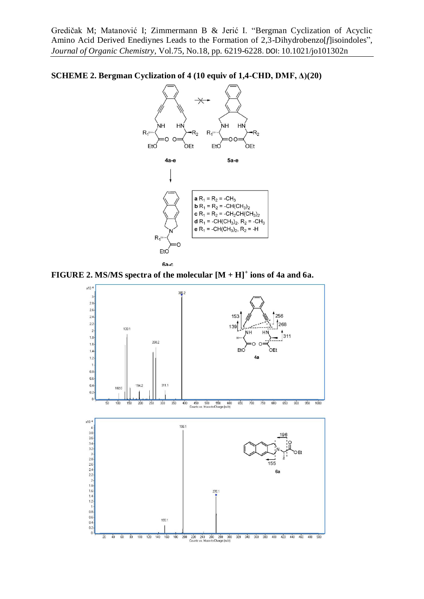



6а-с

**FIGURE 2. MS/MS spectra of the molecular [M + H]<sup>+</sup> ions of 4a and 6a.**

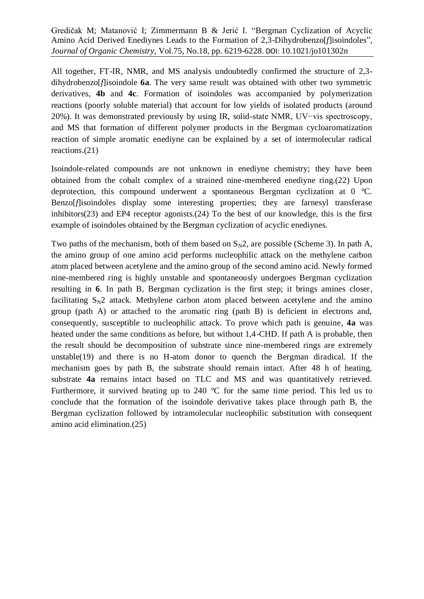All together, FT-IR, NMR, and MS analysis undoubtedly confirmed the structure of 2,3 dihydrobenzo[*f*]isoindole **6a**. The very same result was obtained with other two symmetric derivatives, **4b** and **4c**. Formation of isoindoles was accompanied by polymerization reactions (poorly soluble material) that account for low yields of isolated products (around 20%). It was demonstrated previously by using IR, solid-state NMR, UV−vis spectroscopy, and MS that formation of different polymer products in the Bergman cycloaromatization reaction of simple aromatic enediyne can be explained by a set of intermolecular radical reactions.(21)

Isoindole-related compounds are not unknown in enediyne chemistry; they have been obtained from the cobalt complex of a strained nine-membered enediyne ring.(22) Upon deprotection, this compound underwent a spontaneous Bergman cyclization at 0 °C. Benzo[*f*]isoindoles display some interesting properties; they are farnesyl transferase inhibitors(23) and EP4 receptor agonists.(24) To the best of our knowledge, this is the first example of isoindoles obtained by the Bergman cyclization of acyclic enediynes.

Two paths of the mechanism, both of them based on  $S_N2$ , are possible (Scheme 3). In path A, the amino group of one amino acid performs nucleophilic attack on the methylene carbon atom placed between acetylene and the amino group of the second amino acid. Newly formed nine-membered ring is highly unstable and spontaneously undergoes Bergman cyclization resulting in **6**. In path B, Bergman cyclization is the first step; it brings amines closer, facilitating  $S_N2$  attack. Methylene carbon atom placed between acetylene and the amino group (path A) or attached to the aromatic ring (path B) is deficient in electrons and, consequently, susceptible to nucleophilic attack. To prove which path is genuine, **4a** was heated under the same conditions as before, but without 1,4-CHD. If path A is probable, then the result should be decomposition of substrate since nine-membered rings are extremely unstable(19) and there is no H-atom donor to quench the Bergman diradical. If the mechanism goes by path B, the substrate should remain intact. After 48 h of heating, substrate **4a** remains intact based on TLC and MS and was quantitatively retrieved. Furthermore, it survived heating up to 240 °C for the same time period. This led us to conclude that the formation of the isoindole derivative takes place through path B, the Bergman cyclization followed by intramolecular nucleophilic substitution with consequent amino acid elimination.(25)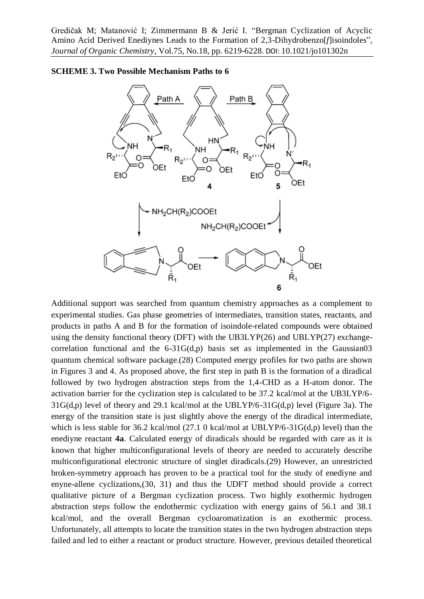



Additional support was searched from quantum chemistry approaches as a complement to experimental studies. Gas phase geometries of intermediates, transition states, reactants, and products in paths A and B for the formation of isoindole-related compounds were obtained using the density functional theory (DFT) with the UB3LYP(26) and UBLYP(27) exchangecorrelation functional and the  $6-31G(d,p)$  basis set as implemented in the Gaussian03 quantum chemical software package.(28) Computed energy profiles for two paths are shown in Figures 3 and 4. As proposed above, the first step in path B is the formation of a diradical followed by two hydrogen abstraction steps from the 1,4-CHD as a H-atom donor. The activation barrier for the cyclization step is calculated to be 37.2 kcal/mol at the UB3LYP/6- 31G(d,p) level of theory and 29.1 kcal/mol at the UBLYP/6-31G(d,p) level (Figure 3a). The energy of the transition state is just slightly above the energy of the diradical intermediate, which is less stable for 36.2 kcal/mol (27.1 0 kcal/mol at UBLYP/6-31G(d,p) level) than the enediyne reactant **4a**. Calculated energy of diradicals should be regarded with care as it is known that higher multiconfigurational levels of theory are needed to accurately describe multiconfigurational electronic structure of singlet diradicals.(29) However, an unrestricted broken-symmetry approach has proven to be a practical tool for the study of enediyne and enyne-allene cyclizations,(30, 31) and thus the UDFT method should provide a correct qualitative picture of a Bergman cyclization process. Two highly exothermic hydrogen abstraction steps follow the endothermic cyclization with energy gains of 56.1 and 38.1 kcal/mol, and the overall Bergman cycloaromatization is an exothermic process. Unfortunately, all attempts to locate the transition states in the two hydrogen abstraction steps failed and led to either a reactant or product structure. However, previous detailed theoretical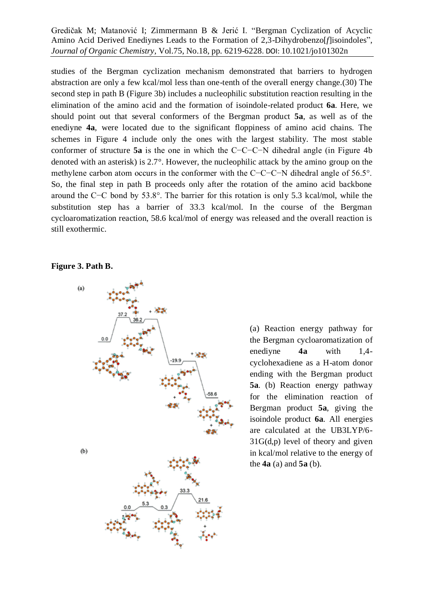studies of the Bergman cyclization mechanism demonstrated that barriers to hydrogen abstraction are only a few kcal/mol less than one-tenth of the overall energy change.(30) The second step in path B (Figure 3b) includes a nucleophilic substitution reaction resulting in the elimination of the amino acid and the formation of isoindole-related product **6a**. Here, we should point out that several conformers of the Bergman product **5a**, as well as of the enediyne **4a**, were located due to the significant floppiness of amino acid chains. The schemes in Figure 4 include only the ones with the largest stability. The most stable conformer of structure **5a** is the one in which the C−C−C−N dihedral angle (in Figure 4b denoted with an asterisk) is 2.7°. However, the nucleophilic attack by the amino group on the methylene carbon atom occurs in the conformer with the C−C−C−N dihedral angle of 56.5°. So, the final step in path B proceeds only after the rotation of the amino acid backbone around the C−C bond by 53.8°. The barrier for this rotation is only 5.3 kcal/mol, while the substitution step has a barrier of 33.3 kcal/mol. In the course of the Bergman cycloaromatization reaction, 58.6 kcal/mol of energy was released and the overall reaction is still exothermic.

#### **Figure 3. Path B.**



(a) Reaction energy pathway for the Bergman cycloaromatization of enediyne **4a** with 1,4 cyclohexadiene as a H-atom donor ending with the Bergman product **5a**. (b) Reaction energy pathway for the elimination reaction of Bergman product **5a**, giving the isoindole product **6a**. All energies are calculated at the UB3LYP/6- 31G(d,p) level of theory and given in kcal/mol relative to the energy of the **4a** (a) and **5a** (b).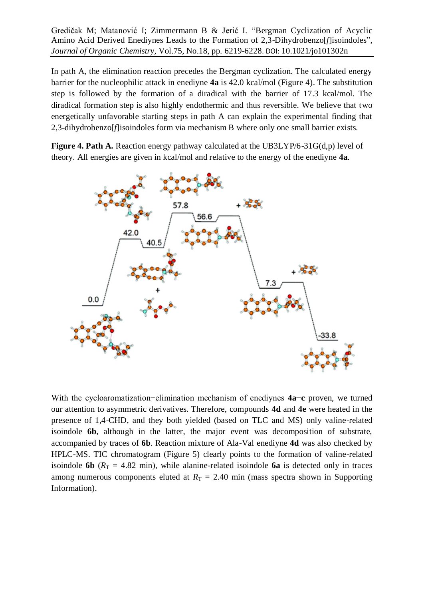In path A, the elimination reaction precedes the Bergman cyclization. The calculated energy barrier for the nucleophilic attack in enediyne **4a** is 42.0 kcal/mol (Figure 4). The substitution step is followed by the formation of a diradical with the barrier of 17.3 kcal/mol. The diradical formation step is also highly endothermic and thus reversible. We believe that two energetically unfavorable starting steps in path A can explain the experimental finding that 2,3-dihydrobenzo[*f*]isoindoles form via mechanism B where only one small barrier exists.

**Figure 4. Path A.** Reaction energy pathway calculated at the UB3LYP/6-31G(d,p) level of theory. All energies are given in kcal/mol and relative to the energy of the enediyne **4a**.



With the cycloaromatization−elimination mechanism of enediynes **4a**−**c** proven, we turned our attention to asymmetric derivatives. Therefore, compounds **4d** and **4e** were heated in the presence of 1,4-CHD, and they both yielded (based on TLC and MS) only valine-related isoindole **6b**, although in the latter, the major event was decomposition of substrate, accompanied by traces of **6b**. Reaction mixture of Ala-Val enediyne **4d** was also checked by HPLC-MS. TIC chromatogram (Figure 5) clearly points to the formation of valine-related isoindole **6b** ( $R_T = 4.82$  min), while alanine-related isoindole **6a** is detected only in traces among numerous components eluted at  $R_T = 2.40$  min (mass spectra shown in Supporting Information).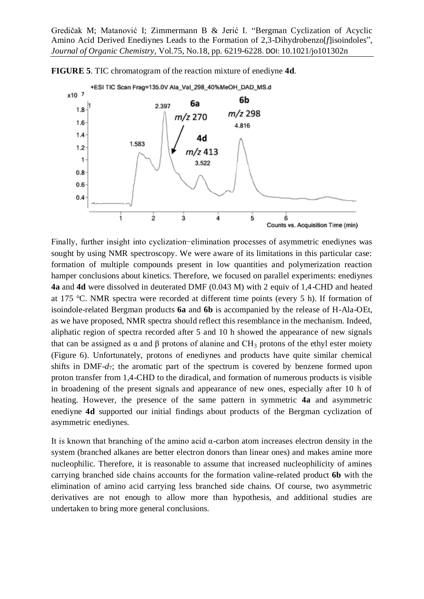

**FIGURE 5**. TIC chromatogram of the reaction mixture of enediyne **4d**.

Finally, further insight into cyclization−elimination processes of asymmetric enediynes was sought by using NMR spectroscopy. We were aware of its limitations in this particular case: formation of multiple compounds present in low quantities and polymerization reaction hamper conclusions about kinetics. Therefore, we focused on parallel experiments: enediynes **4a** and **4d** were dissolved in deuterated DMF (0.043 M) with 2 equiv of 1,4-CHD and heated at 175 °C. NMR spectra were recorded at different time points (every 5 h). If formation of isoindole-related Bergman products **6a** and **6b** is accompanied by the release of H-Ala-OEt, as we have proposed, NMR spectra should reflect this resemblance in the mechanism. Indeed, aliphatic region of spectra recorded after 5 and 10 h showed the appearance of new signals that can be assigned as α and β protons of alanine and  $CH_3$  protons of the ethyl ester moiety (Figure 6). Unfortunately, protons of enediynes and products have quite similar chemical shifts in DMF- $d_7$ ; the aromatic part of the spectrum is covered by benzene formed upon proton transfer from 1,4-CHD to the diradical, and formation of numerous products is visible in broadening of the present signals and appearance of new ones, especially after 10 h of heating. However, the presence of the same pattern in symmetric **4a** and asymmetric enediyne **4d** supported our initial findings about products of the Bergman cyclization of asymmetric enediynes.

It is known that branching of the amino acid  $\alpha$ -carbon atom increases electron density in the system (branched alkanes are better electron donors than linear ones) and makes amine more nucleophilic. Therefore, it is reasonable to assume that increased nucleophilicity of amines carrying branched side chains accounts for the formation valine-related product **6b** with the elimination of amino acid carrying less branched side chains. Of course, two asymmetric derivatives are not enough to allow more than hypothesis, and additional studies are undertaken to bring more general conclusions.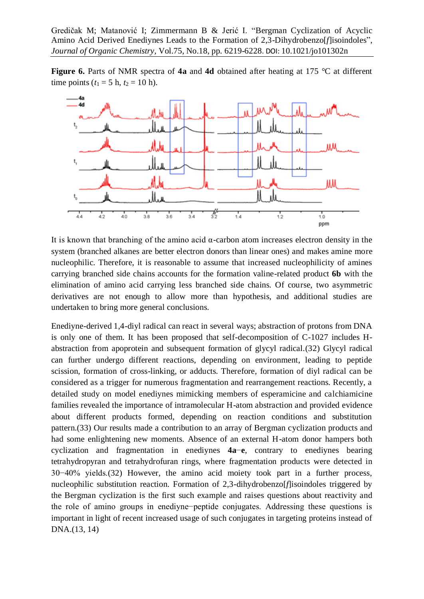**Figure 6.** Parts of NMR spectra of **4a** and **4d** obtained after heating at 175 °C at different time points ( $t_1 = 5$  h,  $t_2 = 10$  h).



It is known that branching of the amino acid  $\alpha$ -carbon atom increases electron density in the system (branched alkanes are better electron donors than linear ones) and makes amine more nucleophilic. Therefore, it is reasonable to assume that increased nucleophilicity of amines carrying branched side chains accounts for the formation valine-related product **6b** with the elimination of amino acid carrying less branched side chains. Of course, two asymmetric derivatives are not enough to allow more than hypothesis, and additional studies are undertaken to bring more general conclusions.

Enediyne-derived 1,4-diyl radical can react in several ways; abstraction of protons from DNA is only one of them. It has been proposed that self-decomposition of C-1027 includes Habstraction from apoprotein and subsequent formation of glycyl radical.(32) Glycyl radical can further undergo different reactions, depending on environment, leading to peptide scission, formation of cross-linking, or adducts. Therefore, formation of diyl radical can be considered as a trigger for numerous fragmentation and rearrangement reactions. Recently, a detailed study on model enediynes mimicking members of esperamicine and calchiamicine families revealed the importance of intramolecular H-atom abstraction and provided evidence about different products formed, depending on reaction conditions and substitution pattern.(33) Our results made a contribution to an array of Bergman cyclization products and had some enlightening new moments. Absence of an external H-atom donor hampers both cyclization and fragmentation in enediynes **4a**−**e**, contrary to enediynes bearing tetrahydropyran and tetrahydrofuran rings, where fragmentation products were detected in 30−40% yields.(32) However, the amino acid moiety took part in a further process, nucleophilic substitution reaction. Formation of 2,3-dihydrobenzo[*f*]isoindoles triggered by the Bergman cyclization is the first such example and raises questions about reactivity and the role of amino groups in enediyne−peptide conjugates. Addressing these questions is important in light of recent increased usage of such conjugates in targeting proteins instead of DNA.(13, 14)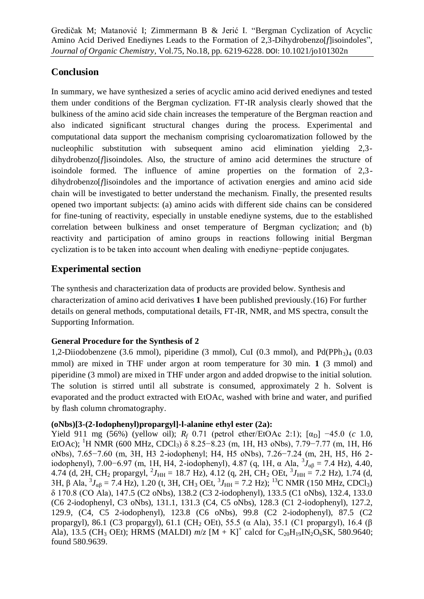# **Conclusion**

In summary, we have synthesized a series of acyclic amino acid derived enediynes and tested them under conditions of the Bergman cyclization. FT-IR analysis clearly showed that the bulkiness of the amino acid side chain increases the temperature of the Bergman reaction and also indicated significant structural changes during the process. Experimental and computational data support the mechanism comprising cycloaromatization followed by the nucleophilic substitution with subsequent amino acid elimination yielding 2,3 dihydrobenzo[*f*]isoindoles. Also, the structure of amino acid determines the structure of isoindole formed. The influence of amine properties on the formation of 2,3 dihydrobenzo[*f*]isoindoles and the importance of activation energies and amino acid side chain will be investigated to better understand the mechanism. Finally, the presented results opened two important subjects: (a) amino acids with different side chains can be considered for fine-tuning of reactivity, especially in unstable enediyne systems, due to the established correlation between bulkiness and onset temperature of Bergman cyclization; and (b) reactivity and participation of amino groups in reactions following initial Bergman cyclization is to be taken into account when dealing with enediyne−peptide conjugates.

# **Experimental section**

The synthesis and characterization data of products are provided below. Synthesis and characterization of amino acid derivatives **1** have been published previously.(16) For further details on general methods, computational details, FT-IR, NMR, and MS spectra, consult the Supporting Information.

# **General Procedure for the Synthesis of 2**

1,2-Diiodobenzene (3.6 mmol), piperidine (3 mmol), CuI (0.3 mmol), and  $Pd(PPh<sub>3</sub>)<sub>4</sub>$  (0.03 mmol) are mixed in THF under argon at room temperature for 30 min. **1** (3 mmol) and piperidine (3 mmol) are mixed in THF under argon and added dropwise to the initial solution. The solution is stirred until all substrate is consumed, approximately 2 h. Solvent is evaporated and the product extracted with EtOAc, washed with brine and water, and purified by flash column chromatography.

# **(oNbs)[3-(2-Iodophenyl)propargyl]-l-alanine ethyl ester (2a):**

Yield 911 mg (56%) (yellow oil);  $R_f$  0.71 (petrol ether/EtOAc 2:1);  $[\alpha_D]$  –45.0 (*c* 1.0, EtOAc); <sup>1</sup>H NMR (600 MHz, CDCl<sub>3</sub>)  $\delta$  8.25–8.23 (m, 1H, H3 oNbs), 7.79–7.77 (m, 1H, H6 oNbs), 7.65−7.60 (m, 3H, H3 2-iodophenyl; H4, H5 oNbs), 7.26−7.24 (m, 2H, H5, H6 2 iodophenyl), 7.00−6.97 (m, 1H, H4, 2-iodophenyl), 4.87 (q, 1H, α Ala, <sup>3</sup> *J*αβ = 7.4 Hz), 4.40, 4.74 (d, 2H, CH<sub>2</sub> propargyl,  $^{2}J_{HH} = 18.7$  Hz), 4.12 (q, 2H, CH<sub>2</sub> OEt,  $^{3}J_{HH} = 7.2$  Hz), 1.74 (d, 3H, β Ala,  ${}^{3}J_{\alpha\beta} = 7.4$  Hz), 1.20 (t, 3H, CH<sub>3</sub> OEt,  ${}^{3}J_{HH} = 7.2$  Hz); <sup>13</sup>C NMR (150 MHz, CDCl<sub>3</sub>) δ 170.8 (CO Ala), 147.5 (C2 oNbs), 138.2 (C3 2-iodophenyl), 133.5 (C1 oNbs), 132.4, 133.0 (C6 2-iodophenyl, C3 oNbs), 131.1, 131.3 (C4, C5 oNbs), 128.3 (C1 2-iodophenyl), 127.2, 129.9, (C4, C5 2-iodophenyl), 123.8 (C6 oNbs), 99.8 (C2 2-iodophenyl), 87.5 (C2 propargyl), 86.1 (C3 propargyl), 61.1 (CH<sub>2</sub> OEt), 55.5 (α Ala), 35.1 (C1 propargyl), 16.4 (β Ala), 13.5 (CH<sub>3</sub> OEt); HRMS (MALDI)  $m/z$  [M + K]<sup>+</sup> calcd for C<sub>20</sub>H<sub>19</sub>IN<sub>2</sub>O<sub>6</sub>SK, 580.9640; found 580.9639.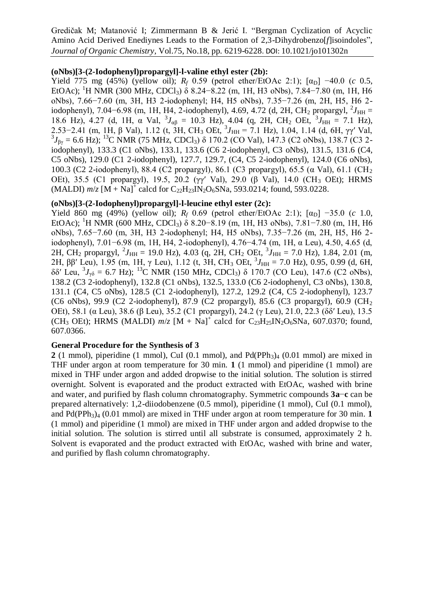#### **(oNbs)[3-(2-Iodophenyl)propargyl]-l-valine ethyl ester (2b):**

Yield 775 mg (45%) (yellow oil);  $R_f$  0.59 (petrol ether/EtOAc 2:1);  $[\alpha_D]$  −40.0 (*c* 0.5, EtOAc); <sup>1</sup>H NMR (300 MHz, CDCl<sub>3</sub>)  $\delta$  8.24–8.22 (m, 1H, H<sub>3</sub> oNbs), 7.84–7.80 (m, 1H, H<sub>6</sub>) oNbs), 7.66−7.60 (m, 3H, H3 2-iodophenyl; H4, H5 oNbs), 7.35−7.26 (m, 2H, H5, H6 2 iodophenyl), 7.04–6.98 (m, 1H, H4, 2-iodophenyl), 4.69, 4.72 (d, 2H, CH<sub>2</sub> propargyl, <sup>2</sup> $J_{HH}$  = 18.6 Hz), 4.27 (d, 1H,  $\alpha$  Val,  ${}^{3}J_{\alpha\beta} = 10.3$  Hz), 4.04 (q, 2H, CH<sub>2</sub> OEt,  ${}^{3}J_{\text{HH}} = 7.1$  Hz), 2.53–2.41 (m, 1H, β Val), 1.12 (t, 3H, CH<sub>3</sub> OEt,  ${}^{3}J_{HH} = 7.1$  Hz), 1.04, 1.14 (d, 6H, γγ' Val,  ${}^{3}J_{\beta\gamma}$  = 6.6 Hz); <sup>13</sup>C NMR (75 MHz, CDCl<sub>3</sub>) δ 170.2 (CO Val), 147.3 (C2 oNbs), 138.7 (C3 2iodophenyl), 133.3 (C1 oNbs), 133.1, 133.6 (C6 2-iodophenyl, C3 oNbs), 131.5, 131.6 (C4, C5 oNbs), 129.0 (C1 2-iodophenyl), 127.7, 129.7, (C4, C5 2-iodophenyl), 124.0 (C6 oNbs), 100.3 (C2 2-iodophenyl), 88.4 (C2 propargyl), 86.1 (C3 propargyl), 65.5 (α Val), 61.1 (CH<sup>2</sup> OEt), 35.5 (C1 propargyl), 19.5, 20.2 (γγ' Val), 29.0 (β Val), 14.0 (CH<sub>3</sub> OEt); HRMS  $(MALDI)$   $m/z$   $[M + Na]$ <sup>+</sup> calcd for  $C_{22}H_{23}IN_2O_6SNa$ , 593.0214; found, 593.0228.

# **(oNbs)[3-(2-Iodophenyl)propargyl]-l-leucine ethyl ester (2c):**

Yield 860 mg (49%) (yellow oil);  $R_f$  0.69 (petrol ether/EtOAc 2:1);  $[\alpha_D]$  −35.0 (*c* 1.0, EtOAc); <sup>1</sup>H NMR (600 MHz, CDCl<sub>3</sub>)  $\delta$  8.20–8.19 (m, 1H, H<sub>3</sub> oNbs), 7.81–7.80 (m, 1H, H<sub>6</sub>) oNbs), 7.65−7.60 (m, 3H, H3 2-iodophenyl; H4, H5 oNbs), 7.35−7.26 (m, 2H, H5, H6 2 iodophenyl), 7.01−6.98 (m, 1H, H4, 2-iodophenyl), 4.76−4.74 (m, 1H, α Leu), 4.50, 4.65 (d, 2H, CH<sub>2</sub> propargyl,  ${}^{2}J_{HH} = 19.0$  Hz), 4.03 (q, 2H, CH<sub>2</sub> OEt,  ${}^{3}J_{HH} = 7.0$  Hz), 1.84, 2.01 (m, 2H,  $ββ'$  Leu), 1.95 (m, 1H, γ Leu), 1.12 (t, 3H, CH<sub>3</sub> OEt,  $^3J_{HH} = 7.0$  Hz), 0.95, 0.99 (d, 6H, δδ' Leu,  ${}^{3}J_{\gamma\delta}$  = 6.7 Hz); <sup>13</sup>C NMR (150 MHz, CDCl<sub>3</sub>) δ 170.7 (CO Leu), 147.6 (C2 oNbs), 138.2 (C3 2-iodophenyl), 132.8 (C1 oNbs), 132.5, 133.0 (C6 2-iodophenyl, C3 oNbs), 130.8, 131.1 (C4, C5 oNbs), 128.5 (C1 2-iodophenyl), 127.2, 129.2 (C4, C5 2-iodophenyl), 123.7 (C6 oNbs), 99.9 (C2 2-iodophenyl), 87.9 (C2 propargyl), 85.6 (C3 propargyl), 60.9 (CH<sub>2</sub> OEt), 58.1 (α Leu), 38.6 (β Leu), 35.2 (C1 propargyl), 24.2 (γ Leu), 21.0, 22.3 (δδ′ Leu), 13.5 (CH<sub>3</sub> OEt); HRMS (MALDI)  $m/z$  [M + Na]<sup>+</sup> calcd for C<sub>23</sub>H<sub>25</sub>IN<sub>2</sub>O<sub>6</sub>SNa, 607.0370; found, 607.0366.

#### **General Procedure for the Synthesis of 3**

2 (1 mmol), piperidine (1 mmol), CuI (0.1 mmol), and  $Pd(PPh<sub>3</sub>)<sub>4</sub>$  (0.01 mmol) are mixed in THF under argon at room temperature for 30 min. **1** (1 mmol) and piperidine (1 mmol) are mixed in THF under argon and added dropwise to the initial solution. The solution is stirred overnight. Solvent is evaporated and the product extracted with EtOAc, washed with brine and water, and purified by flash column chromatography. Symmetric compounds **3a**−**c** can be prepared alternatively: 1,2-diiodobenzene (0.5 mmol), piperidine (1 mmol), CuI (0.1 mmol), and  $Pd(PPh<sub>3</sub>)<sub>4</sub>$  (0.01 mmol) are mixed in THF under argon at room temperature for 30 min. **1** (1 mmol) and piperidine (1 mmol) are mixed in THF under argon and added dropwise to the initial solution. The solution is stirred until all substrate is consumed, approximately 2 h. Solvent is evaporated and the product extracted with EtOAc, washed with brine and water, and purified by flash column chromatography.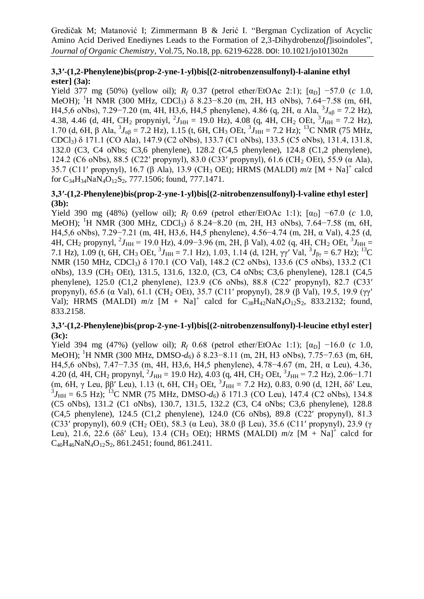# **3,3′-(1,2-Phenylene)bis(prop-2-yne-1-yl)bis[(2-nitrobenzensulfonyl)-l-alanine ethyl ester] (3a):**

Yield 377 mg (50%) (yellow oil);  $R_f$  0.37 (petrol ether/EtOAc 2:1);  $[\alpha_D]$  –57.0 (*c* 1.0, MeOH); <sup>1</sup>H NMR (300 MHz, CDCl3) δ 8.23−8.20 (m, 2H, H3 oNbs), 7.64−7.58 (m, 6H, H4,5,6 oNbs), 7.29–7.20 (m, 4H, H3,6, H4,5 phenylene), 4.86 (q, 2H, α Ala,  ${}^{3}J_{\alpha\beta} = 7.2$  Hz), 4.38, 4.46 (d, 4H, CH<sub>2</sub> propyniyl, <sup>2</sup> $J_{HH}$  = 19.0 Hz), 4.08 (q, 4H, CH<sub>2</sub> OEt, <sup>3</sup> $J_{HH}$  = 7.2 Hz), 1.70 (d, 6H, β Ala,  ${}^{3}J_{\alpha\beta} = 7.2$  Hz), 1.15 (t, 6H, CH<sub>3</sub> OEt,  ${}^{3}J_{\text{HH}} = 7.2$  Hz); <sup>13</sup>C NMR (75 MHz, CDCl3) δ 171.1 (CO Ala), 147.9 (C2 oNbs), 133.7 (C1 oNbs), 133.5 (C5 oNbs), 131.4, 131.8, 132.0 (C3, C4 oNbs; C3,6 phenylene), 128.2 (C4,5 phenylene), 124.8 (C1,2 phenylene), 124.2 (C6 oNbs), 88.5 (C22′ propynyl), 83.0 (C33′ propynyl), 61.6 (CH<sup>2</sup> OEt), 55.9 (α Ala), 35.7 (C11′ propynyl), 16.7 (β Ala), 13.9 (CH<sup>3</sup> OEt); HRMS (MALDI) *m*/*z* [M + Na]<sup>+</sup> calcd for  $C_{34}H_{34}NaN_4O_{12}S_2$ , 777.1506; found, 777.1471.

#### **3,3′-(1,2-Phenylene)bis(prop-2-yne-1-yl)bis[(2-nitrobenzensulfonyl)-l-valine ethyl ester] (3b):**

Yield 390 mg (48%) (yellow oil);  $R_f$  0.69 (petrol ether/EtOAc 1:1);  $[\alpha_D]$  –67.0 (*c* 1.0, MeOH); <sup>1</sup>H NMR (300 MHz, CDCl<sub>3</sub>) δ 8.24–8.20 (m, 2H, H<sub>3</sub> oNbs), 7.64–7.58 (m, 6H, H4,5,6 oNbs), 7.29−7.21 (m, 4H, H3,6, H4,5 phenylene), 4.56−4.74 (m, 2H, α Val), 4.25 (d, 4H, CH<sub>2</sub> propynyl, <sup>2</sup>J<sub>HH</sub> = 19.0 Hz), 4.09−3.96 (m, 2H, β Val), 4.02 (q, 4H, CH<sub>2</sub> OEt, <sup>3</sup>J<sub>HH</sub> = 7.1 Hz), 1.09 (t, 6H, CH<sub>3</sub> OEt,  ${}^{3}J_{\text{HH}} = 7.1$  Hz), 1.03, 1.14 (d, 12H,  $\gamma\gamma'$  Val,  ${}^{3}J_{\beta\gamma} = 6.7$  Hz); <sup>13</sup>C NMR (150 MHz, CDCl3) δ 170.1 (CO Val), 148.2 (C2 oNbs), 133.6 (C5 oNbs), 133.2 (C1 oNbs), 13.9 (CH<sup>3</sup> OEt), 131.5, 131.6, 132.0, (C3, C4 oNbs; C3,6 phenylene), 128.1 (C4,5 phenylene), 125.0 (C1,2 phenylene), 123.9 (C6 oNbs), 88.8 (C22′ propynyl), 82.7 (C33′ propynyl), 65.6 (α Val), 61.1 (CH<sup>2</sup> OEt), 35.7 (C11′ propynyl), 28.9 (β Val), 19.5, 19.9 (γγ′ Val); HRMS (MALDI)  $m/z$  [M + Na]<sup>+</sup> calcd for  $C_{38}H_{42}NaN_4O_{12}S_2$ , 833.2132; found, 833.2158.

# **3,3′-(1,2-Phenylene)bis(prop-2-yne-1-yl)bis[(2-nitrobenzensulfonyl)-l-leucine ethyl ester] (3c):**

Yield 394 mg (47%) (yellow oil);  $R_f$  0.68 (petrol ether/EtOAc 1:1);  $[\alpha_D]$  -16.0 (*c* 1.0, MeOH); <sup>1</sup>H NMR (300 MHz, DMSO-*d*6) δ 8.23−8.11 (m, 2H, H3 oNbs), 7.75−7.63 (m, 6H, H4,5,6 oNbs), 7.47−7.35 (m, 4H, H3,6, H4,5 phenylene), 4.78−4.67 (m, 2H, α Leu), 4.36, 4.20 (d, 4H, CH<sub>2</sub> propynyl, <sup>2</sup> $J_{HH}$  = 19.0 Hz), 4.03 (q, 4H, CH<sub>2</sub> OEt, <sup>3</sup> $J_{HH}$  = 7.2 Hz), 2.06–1.71 (m, 6H,  $\gamma$  Leu,  $\beta \beta'$  Leu), 1.13 (t, 6H, CH<sub>3</sub> OEt,  ${}^{3}J_{HH} = 7.2$  Hz), 0.83, 0.90 (d, 12H,  $\delta \delta'$  Leu,  ${}^{3}J_{\text{HH}}$  = 6.5 Hz); <sup>13</sup>C NMR (75 MHz, DMSO-d<sub>6</sub>) δ 171.3 (CO Leu), 147.4 (C2 oNbs), 134.8 (C5 oNbs), 131.2 (C1 oNbs), 130.7, 131.5, 132.2 (C3, C4 oNbs; C3,6 phenylene), 128.8 (C4,5 phenylene), 124.5 (C1,2 phenylene), 124.0 (C6 oNbs), 89.8 (C22′ propynyl), 81.3 (C33′ propynyl), 60.9 (CH<sup>2</sup> OEt), 58.3 (α Leu), 38.0 (β Leu), 35.6 (C11′ propynyl), 23.9 (γ Leu), 21.6, 22.6 ( $\delta \delta'$  Leu), 13.4 (CH<sub>3</sub> OEt); HRMS (MALDI)  $m/z$  [M + Na]<sup>+</sup> calcd for  $C_{40}H_{46}NaN_4O_{12}S_2$ , 861.2451; found, 861.2411.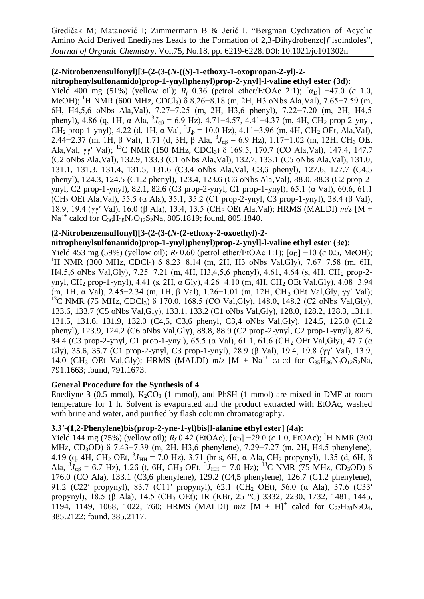# **(2-Nitrobenzensulfonyl)[3-(2-(3-(***N***-((***S***)-1-ethoxy-1-oxopropan-2-yl)-2-**

## **nitrophenylsulfonamido)prop-1-ynyl)phenyl)prop-2-ynyl]-l-valine ethyl ester (3d):**

Yield 400 mg (51%) (yellow oil);  $R_f$  0.36 (petrol ether/EtOAc 2:1);  $[\alpha_D]$  −47.0 (*c* 1.0, MeOH); <sup>1</sup>H NMR (600 MHz, CDCl<sub>3</sub>) δ 8.26−8.18 (m, 2H, H3 oNbs Ala,Val), 7.65−7.59 (m, 6H, H4,5,6 oNbs Ala,Val), 7.27−7.25 (m, 2H, H3,6 phenyl), 7.22−7.20 (m, 2H, H4,5 phenyl), 4.86 (q, 1H, α Ala,  ${}^{3}J_{\alpha\beta}$  = 6.9 Hz), 4.71–4.57, 4.41–4.37 (m, 4H, CH<sub>2</sub> prop-2-ynyl, CH<sub>2</sub> prop-1-ynyl), 4.22 (d, 1H,  $\alpha$  Val,  ${}^{3}J_{\beta} = 10.0$  Hz), 4.11–3.96 (m, 4H, CH<sub>2</sub> OEt, Ala,Val), 2.44–2.37 (m, 1H, β Val), 1.71 (d, 3H, β Ala,  ${}^{3}J_{\alpha\beta} = 6.9$  Hz), 1.17–1.02 (m, 12H, CH<sub>3</sub> OEt Ala, Val, γγ' Val); <sup>13</sup>C NMR (150 MHz, CDCl<sub>3</sub>) δ 169.5, 170.7 (CO Ala, Val), 147.4, 147.7 (C2 oNbs Ala,Val), 132.9, 133.3 (C1 oNbs Ala,Val), 132.7, 133.1 (C5 oNbs Ala,Val), 131.0, 131.1, 131.3, 131.4, 131.5, 131.6 (C3,4 oNbs Ala,Val, C3,6 phenyl), 127.6, 127.7 (C4,5 phenyl), 124.3, 124.5 (C1,2 phenyl), 123.4, 123.6 (C6 oNbs Ala,Val), 88.0, 88.3 (C2 prop-2 ynyl, C2 prop-1-ynyl), 82.1, 82.6 (C3 prop-2-ynyl, C1 prop-1-ynyl), 65.1 (α Val), 60.6, 61.1 (CH<sub>2</sub> OEt Ala,Val), 55.5 (α Ala), 35.1, 35.2 (C1 prop-2-ynyl, C3 prop-1-ynyl), 28.4 (β Val), 18.9, 19.4 (γγ′ Val), 16.0 (β Ala), 13.4, 13.5 (CH<sup>3</sup> OEt Ala,Val); HRMS (MALDI) *m*/*z* [M + Na]<sup>+</sup> calcd for  $C_{36}H_{38}N_4O_{12}S_2N_4$ , 805.1819; found, 805.1840.

## **(2-Nitrobenzensulfonyl)[3-(2-(3-(***N***-(2-ethoxy-2-oxoethyl)-2-**

# **nitrophenylsulfonamido)prop-1-ynyl)phenyl)prop-2-ynyl]-l-valine ethyl ester (3e):**

Yield 453 mg (59%) (yellow oil);  $R_f$  0.60 (petrol ether/EtOAc 1:1); [α<sub>D</sub>] −10 (*c* 0.5, MeOH); <sup>1</sup>H NMR (300 MHz, CDCl<sub>3</sub>) δ 8.23–8.14 (m, 2H, H<sub>3</sub> oNbs Val,Gly), 7.67–7.58 (m, 6H, H4,5,6 oNbs Val,Gly), 7.25−7.21 (m, 4H, H3,4,5,6 phenyl), 4.61, 4.64 (s, 4H, CH<sup>2</sup> prop-2 ynyl, CH<sup>2</sup> prop-1-ynyl), 4.41 (s, 2H, α Gly), 4.26−4.10 (m, 4H, CH<sup>2</sup> OEt Val,Gly), 4.08−3.94 (m, 1H, α Val), 2.45−2.34 (m, 1H, β Val), 1.26−1.01 (m, 12H, CH<sup>3</sup> OEt Val,Gly, γγ′ Val); <sup>13</sup>C NMR (75 MHz, CDCl<sub>3</sub>) δ 170.0, 168.5 (CO Val,Gly), 148.0, 148.2 (C2 oNbs Val,Gly), 133.6, 133.7 (C5 oNbs Val,Gly), 133.1, 133.2 (C1 oNbs Val,Gly), 128.0, 128.2, 128.3, 131.1, 131.5, 131.6, 131.9, 132.0 (C4,5, C3,6 phenyl, C3,4 oNbs Val,Gly), 124.5, 125.0 (C1,2 phenyl), 123.9, 124.2 (C6 oNbs Val,Gly), 88.8, 88.9 (C2 prop-2-ynyl, C2 prop-1-ynyl), 82.6, 84.4 (C3 prop-2-ynyl, C1 prop-1-ynyl), 65.5 (α Val), 61.1, 61.6 (CH<sub>2</sub> OEt Val, Gly), 47.7 (α Gly), 35.6, 35.7 (C1 prop-2-ynyl, C3 prop-1-ynyl), 28.9 (β Val), 19.4, 19.8 (γγ′ Val), 13.9, 14.0 (CH<sub>3</sub> OEt Val,Gly); HRMS (MALDI)  $m/z$  [M + Na]<sup>+</sup> calcd for C<sub>35</sub>H<sub>36</sub>N<sub>4</sub>O<sub>12</sub>S<sub>2</sub>Na, 791.1663; found, 791.1673.

## **General Procedure for the Synthesis of 4**

Enediyne  $3$  (0.5 mmol),  $K_2CO_3$  (1 mmol), and PhSH (1 mmol) are mixed in DMF at room temperature for 1 h. Solvent is evaporated and the product extracted with EtOAc, washed with brine and water, and purified by flash column chromatography.

## **3,3′-(1,2-Phenylene)bis(prop-2-yne-1-yl)bis[l-alanine ethyl ester] (4a):**

Yield 144 mg (75%) (yellow oil);  $R_f$  0.42 (EtOAc);  $\lceil \alpha_{\rm D} \rceil$  –29.0 (*c* 1.0, EtOAc); <sup>1</sup>H NMR (300 MHz, CD<sub>3</sub>OD) δ 7.43−7.39 (m, 2H, H3,6 phenylene), 7.29−7.27 (m, 2H, H4,5 phenylene), 4.19 (q, 4H, CH<sub>2</sub> OEt,  ${}^{3}J_{\text{HH}}$  = 7.0 Hz), 3.71 (br s, 6H, α Ala, CH<sub>2</sub> propynyl), 1.35 (d, 6H, β Ala,  ${}^{3}J_{\alpha\beta}$  = 6.7 Hz), 1.26 (t, 6H, CH<sub>3</sub> OEt,  ${}^{3}J_{HH}$  = 7.0 Hz); <sup>13</sup>C NMR (75 MHz, CD<sub>3</sub>OD)  $\delta$ 176.0 (CO Ala), 133.1 (C3,6 phenylene), 129.2 (C4,5 phenylene), 126.7 (C1,2 phenylene), 91.2 (C22' propynyl), 83.7 (C11' propynyl), 62.1 (CH<sub>2</sub> OEt), 56.0 (α Ala), 37.6 (C33' propynyl), 18.5 (β Ala), 14.5 (CH<sub>3</sub> OEt); IR (KBr, 25 °C) 3332, 2230, 1732, 1481, 1445, 1194, 1149, 1068, 1022, 760; HRMS (MALDI)  $m/z$  [M + H]<sup>+</sup> calcd for C<sub>22</sub>H<sub>28</sub>N<sub>2</sub>O<sub>4</sub>, 385.2122; found, 385.2117.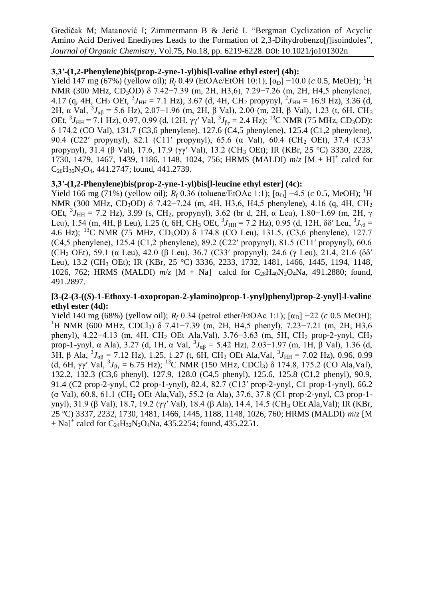## **3,3′-(1,2-Phenylene)bis(prop-2-yne-1-yl)bis[l-valine ethyl ester] (4b):**

Yield 147 mg (67%) (yellow oil);  $R_f$  0.49 (EtOAc/EtOH 10:1);  $[\alpha_D]$  –10.0 (*c* 0.5, MeOH); <sup>1</sup>H NMR (300 MHz, CD<sub>3</sub>OD) δ 7.42−7.39 (m, 2H, H3,6), 7.29−7.26 (m, 2H, H4,5 phenylene), 4.17 (q, 4H, CH<sub>2</sub> OEt,  ${}^{3}J_{\text{HH}} = 7.1$  Hz), 3.67 (d, 4H, CH<sub>2</sub> propynyl,  ${}^{2}J_{\text{HH}} = 16.9$  Hz), 3.36 (d, 2H, α Val,  ${}^{3}J_{\alpha\beta}$  = 5.6 Hz), 2.07–1.96 (m, 2H, β Val), 2.00 (m, 2H, β Val), 1.23 (t, 6H, CH<sub>3</sub> OEt,  ${}^{3}J_{\text{HH}}$  = 7.1 Hz), 0.97, 0.99 (d, 12H, γγ' Val,  ${}^{3}J_{\beta\gamma}$  = 2.4 Hz); <sup>13</sup>C NMR (75 MHz, CD<sub>3</sub>OD): δ 174.2 (CO Val), 131.7 (C3,6 phenylene), 127.6 (C4,5 phenylene), 125.4 (C1,2 phenylene), 90.4 (C22' propynyl), 82.1 (C11' propynyl), 65.6 (α Val), 60.4 (CH<sub>2</sub> OEt), 37.4 (C33' propynyl), 31.4 (β Val), 17.6, 17.9 (γγ′ Val), 13.2 (CH<sup>3</sup> OEt); IR (KBr, 25 °C) 3330, 2228, 1730, 1479, 1467, 1439, 1186, 1148, 1024, 756; HRMS (MALDI)  $m/z$  [M + H]<sup>+</sup> calcd for  $C_{26}H_{36}N_2O_4$ , 441.2747; found, 441.2739.

## **3,3′-(1,2-Phenylene)bis(prop-2-yne-1-yl)bis[l-leucine ethyl ester] (4c):**

Yield 166 mg (71%) (yellow oil);  $R_f$  0.36 (toluene/EtOAc 1:1);  $[\alpha_D]$  –4.5 (c 0.5, MeOH); <sup>1</sup>H NMR (300 MHz, CD<sub>3</sub>OD) δ 7.42−7.24 (m, 4H, H3,6, H4,5 phenylene), 4.16 (q, 4H, CH<sub>2</sub> OEt,  ${}^{3}J_{\text{HH}}$  = 7.2 Hz), 3.99 (s, CH<sub>2</sub>, propynyl), 3.62 (br d, 2H, α Leu), 1.80–1.69 (m, 2H, γ Leu), 1.54 (m, 4H, β Leu), 1.25 (t, 6H, CH<sub>3</sub> OEt, <sup>3</sup>*J*<sub>HH</sub> = 7.2 Hz), 0.95 (d, 12H, δδ' Leu, <sup>3</sup>*J*<sub>γδ</sub> = 4.6 Hz); <sup>13</sup>C NMR (75 MHz, CD<sub>3</sub>OD)  $\delta$  174.8 (CO Leu), 131.5, (C3,6 phenylene), 127.7 (C4,5 phenylene), 125.4 (C1,2 phenylene), 89.2 (C22′ propynyl), 81.5 (C11′ propynyl), 60.6 (CH<sub>2</sub> OEt), 59.1 (α Leu), 42.0 (β Leu), 36.7 (C33' propynyl), 24.6 (γ Leu), 21.4, 21.6 (δδ' Leu), 13.2 (CH<sub>3</sub> OEt); IR (KBr, 25 °C) 3336, 2233, 1732, 1481, 1466, 1445, 1194, 1148, 1026, 762; HRMS (MALDI)  $m/z$  [M + Na]<sup>+</sup> calcd for C<sub>28</sub>H<sub>40</sub>N<sub>2</sub>O<sub>4</sub>Na, 491.2880; found, 491.2897.

#### **[3-(2-(3-((***S***)-1-Ethoxy-1-oxopropan-2-ylamino)prop-1-ynyl)phenyl)prop-2-ynyl]-l-valine ethyl ester (4d):**

Yield 140 mg (68%) (yellow oil);  $R_f$  0.34 (petrol ether/EtOAc 1:1); [α<sub>D</sub>] −22 (*c* 0.5 MeOH); <sup>1</sup>H NMR (600 MHz, CDCl3) δ 7.41−7.39 (m, 2H, H4,5 phenyl), 7.23−7.21 (m, 2H, H3,6 phenyl), 4.22−4.13 (m, 4H, CH<sup>2</sup> OEt Ala,Val), 3.76−3.63 (m, 5H, CH<sup>2</sup> prop-2-ynyl, CH<sup>2</sup> prop-1-ynyl,  $\alpha$  Ala), 3.27 (d, 1H,  $\alpha$  Val,  ${}^{3}J_{\alpha\beta} = 5.42$  Hz), 2.03–1.97 (m, 1H,  $\beta$  Val), 1.36 (d, 3H, β Ala,  ${}^{3}J_{\alpha\beta} = 7.12$  Hz), 1.25, 1.27 (t, 6H, CH<sub>3</sub> OEt Ala, Val,  ${}^{3}J_{HH} = 7.02$  Hz), 0.96, 0.99 (d, 6H,  $\gamma \gamma'$  Val,  ${}^3J_{\beta\gamma} = 6.75$  Hz); <sup>13</sup>C NMR (150 MHz, CDCl<sub>3</sub>)  $\delta$  174.8, 175.2 (CO Ala,Val), 132.2, 132.3 (C3,6 phenyl), 127.9, 128.0 (C4,5 phenyl), 125.6, 125.8 (C1,2 phenyl), 90.9, 91.4 (C2 prop-2-ynyl, C2 prop-1-ynyl), 82.4, 82.7 (C13′ prop-2-ynyl, C1 prop-1-ynyl), 66.2 (α Val), 60.8, 61.1 (CH<sub>2</sub> OEt Ala,Val), 55.2 (α Ala), 37.6, 37.8 (C1 prop-2-ynyl, C3 prop-1ynyl), 31.9 (β Val), 18.7, 19.2 (γγ′ Val), 18.4 (β Ala), 14.4, 14.5 (CH<sup>3</sup> OEt Ala,Val); IR (KBr, 25 °C) 3337, 2232, 1730, 1481, 1466, 1445, 1188, 1148, 1026, 760; HRMS (MALDI) *m*/*z* [M  $+$  Na]<sup>+</sup> calcd for C<sub>24</sub>H<sub>32</sub>N<sub>2</sub>O<sub>4</sub>Na, 435.2254; found, 435.2251.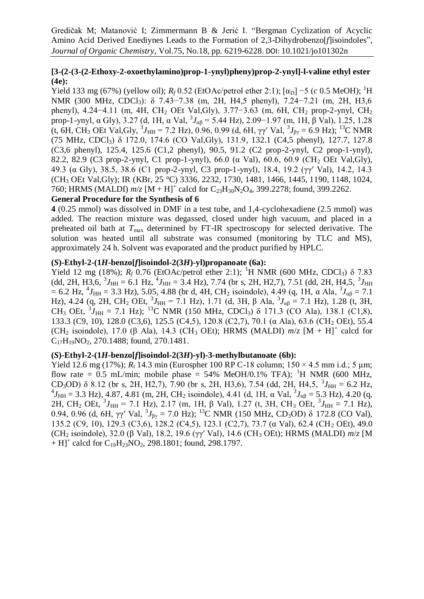# **[3-(2-(3-(2-Ethoxy-2-oxoethylamino)prop-1-ynyl)pheny)prop-2-ynyl]-l-valine ethyl ester (4e):**

Yield 133 mg (67%) (yellow oil);  $R_f$  0.52 (EtOAc/petrol ether 2:1); [α<sub>D</sub>] −5 (*c* 0.5 MeOH); <sup>1</sup>H NMR (300 MHz, CDCl<sub>3</sub>): δ 7.43−7.38 (m, 2H, H4,5 phenyl), 7.24−7.21 (m, 2H, H3,6 phenyl), 4.24−4.11 (m, 4H, CH<sup>2</sup> OEt Val,Gly), 3.77−3.63 (m, 6H, CH<sup>2</sup> prop-2-ynyl, CH<sup>2</sup> prop-1-ynyl, α Gly), 3.27 (d, 1H, α Val,  ${}^{3}J_{\alpha\beta}$  = 5.44 Hz), 2.09–1.97 (m, 1H, β Val), 1.25, 1.28 (t, 6H, CH<sub>3</sub> OEt Val, Gly,  ${}^{3}J_{\text{HH}} = 7.2$  Hz), 0.96, 0.99 (d, 6H,  $\gamma\gamma'$  Val,  ${}^{3}J_{\beta\gamma} = 6.9$  Hz); <sup>13</sup>C NMR (75 MHz, CDCl3) δ 172.0, 174.6 (CO Val,Gly), 131.9, 132.1 (C4,5 phenyl), 127.7, 127.8 (C3,6 phenyl), 125.4, 125.6 (C1,2 phenyl), 90.5, 91.2 (C2 prop-2-ynyl, C2 prop-1-ynyl), 82.2, 82.9 (C3 prop-2-ynyl, C1 prop-1-ynyl), 66.0 (α Val), 60.6, 60.9 (CH<sub>2</sub> OEt Val,Gly), 49.3 (α Gly), 38.5, 38.6 (C1 prop-2-ynyl, C3 prop-1-ynyl), 18.4, 19.2 (γγ′ Val), 14.2, 14.3 (CH<sup>3</sup> OEt Val,Gly); IR (KBr, 25 °C) 3336, 2232, 1730, 1481, 1466, 1445, 1190, 1148, 1024, 760; HRMS (MALDI)  $m/z$  [M + H]<sup>+</sup> calcd for C<sub>23</sub>H<sub>30</sub>N<sub>2</sub>O<sub>4</sub>, 399.2278; found, 399.2262.

# **General Procedure for the Synthesis of 6**

**4** (0.25 mmol) was dissolved in DMF in a test tube, and 1,4-cyclohexadiene (2.5 mmol) was added. The reaction mixture was degassed, closed under high vacuum, and placed in a preheated oil bath at *T*max determined by FT-IR spectroscopy for selected derivative. The solution was heated until all substrate was consumed (monitoring by TLC and MS), approximately 24 h. Solvent was evaporated and the product purified by HPLC.

#### **(***S***)-Ethyl-2-(1***H***-benzo[***f***]isoindol-2(3***H***)-yl)propanoate (6a):**

Yield 12 mg (18%);  $R_f$  0.76 (EtOAc/petrol ether 2:1); <sup>1</sup>H NMR (600 MHz, CDCl<sub>3</sub>) δ 7.83  $(dd, 2H, H3, 6, ^{3}J_{HH} = 6.1$  Hz,  $^{4}J_{HH} = 3.4$  Hz), 7.74 (br s, 2H, H2,7), 7.51 (dd, 2H, H4,5,  $^{3}J_{HH}$  $= 6.2$  Hz,  $^{4}J_{HH} = 3.3$  Hz), 5.05, 4.88 (br d, 4H, CH<sub>2</sub> isoindole), 4.49 (q, 1H, α Ala,  $^{3}J_{\alpha\beta} = 7.1$ Hz), 4.24 (q, 2H, CH<sub>2</sub> OEt, <sup>3</sup>J<sub>HH</sub> = 7.1 Hz), 1.71 (d, 3H, β Ala,  ${}^{3}J_{\alpha\beta}$  = 7.1 Hz), 1.28 (t, 3H, CH<sub>3</sub> OEt,  ${}^{3}J_{\text{HH}} = 7.1$  Hz); <sup>13</sup>C NMR (150 MHz, CDCl<sub>3</sub>)  $\delta$  171.3 (CO Ala), 138.1 (C1,8), 133.3 (C9, 10), 128.0 (C3,6), 125.5 (C4,5), 120.8 (C2,7), 70.1 (α Ala), 63.6 (CH<sup>2</sup> OEt), 55.4 (CH<sub>2</sub> isoindole), 17.0 ( $\beta$  Ala), 14.3 (CH<sub>3</sub> OEt); HRMS (MALDI)  $m/z$  [M + H]<sup>+</sup> calcd for  $C_{17}H_{19}NO_2$ , 270.1488; found, 270.1481.

# **(***S***)-Ethyl-2-(1***H***-benzo[***f***]isoindol-2(3***H***)-yl)-3-methylbutanoate (6b):**

Yield 12.6 mg (17%);  $R_t$  14.3 min (Eurospher 100 RP C-18 column;  $150 \times 4.5$  mm i.d.; 5 um; flow rate = 0.5 mL/min; mobile phase = 54% MeOH/0.1% TFA); <sup>1</sup>H NMR (600 MHz, CD<sub>3</sub>OD)  $\delta$  8.12 (br s, 2H, H2,7), 7.90 (br s, 2H, H3,6), 7.54 (dd, 2H, H4,5,  ${}^{3}J_{HH} = 6.2$  Hz, <sup>4</sup> $J_{HH}$  = 3.3 Hz), 4.87, 4.81 (m, 2H, CH<sub>2</sub> isoindole), 4.41 (d, 1H, α Val,  ${}^{3}J_{\alpha\beta}$  = 5.3 Hz), 4.20 (q, 2H, CH<sub>2</sub> OEt,  ${}^{3}J_{HH}$  = 7.1 Hz), 2.17 (m, 1H, β Val), 1.27 (t, 3H, CH<sub>3</sub> OEt,  ${}^{3}J_{HH}$  = 7.1 Hz), 0.94, 0.96 (d, 6H, γγ' Val,  ${}^{3}J_{\beta\gamma} = 7.0$  Hz); <sup>13</sup>C NMR (150 MHz, CD<sub>3</sub>OD) δ 172.8 (CO Val), 135.2 (C9, 10), 129.3 (C3,6), 128.2 (C4,5), 123.1 (C2,7), 73.7 (α Val), 62.4 (CH<sub>2</sub> OEt), 49.0 (CH<sup>2</sup> isoindole), 32.0 (β Val), 18.2, 19.6 (γγ′ Val), 14.6 (CH<sup>3</sup> OEt); HRMS (MALDI) *m*/*z* [M  $+ H$ ]<sup>+</sup> calcd for C<sub>19</sub>H<sub>23</sub>NO<sub>2</sub>, 298.1801; found, 298.1797.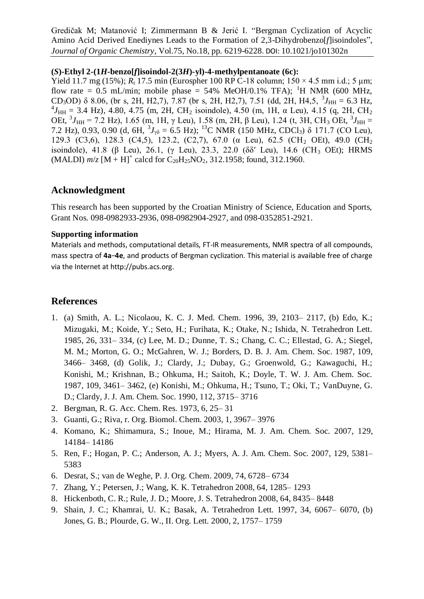#### **(***S***)-Ethyl 2-(1***H***-benzo[***f***]isoindol-2(3***H***)-yl)-4-methylpentanoate (6c):**

Yield 11.7 mg (15%);  $R_t$  17.5 min (Eurospher 100 RP C-18 column;  $150 \times 4.5$  mm i.d.; 5 um; flow rate = 0.5 mL/min; mobile phase =  $54\%$  MeOH/0.1% TFA); <sup>1</sup>H NMR (600 MHz, CD<sub>3</sub>OD)  $\delta$  8.06, (br s, 2H, H2,7), 7.87 (br s, 2H, H2,7), 7.51 (dd, 2H, H4,5,  ${}^{3}J_{\text{HH}} = 6.3$  Hz, <sup>4</sup> $J_{HH}$  = 3.4 Hz), 4.80, 4.75 (m, 2H, CH<sub>2</sub> isoindole), 4.50 (m, 1H, α Leu), 4.15 (q, 2H, CH<sub>2</sub> OEt,  ${}^{3}J_{\text{HH}}$  = 7.2 Hz), 1.65 (m, 1H, γ Leu), 1.58 (m, 2H, β Leu), 1.24 (t, 3H, CH<sub>3</sub> OEt,  ${}^{3}J_{\text{HH}}$  = 7.2 Hz), 0.93, 0.90 (d, 6H,  ${}^{3}J_{\gamma\delta} = 6.5$  Hz); <sup>13</sup>C NMR (150 MHz, CDCl<sub>3</sub>)  $\delta$  171.7 (CO Leu), 129.3 (C3,6), 128.3 (C4,5), 123.2, (C2,7), 67.0 (α Leu), 62.5 (CH<sub>2</sub> OEt), 49.0 (CH<sub>2</sub> isoindole), 41.8 (β Leu), 26.1, (γ Leu), 23.3, 22.0 (δδ' Leu), 14.6 (CH<sub>3</sub> OEt); HRMS  $(MALDI)$   $m/z$   $[M + H]$ <sup>+</sup> calcd for  $C_{20}H_{25}NO_2$ , 312.1958; found, 312.1960.

# **Acknowledgment**

This research has been supported by the Croatian Ministry of Science, Education and Sports, Grant Nos. 098-0982933-2936, 098-0982904-2927, and 098-0352851-2921.

## **Supporting information**

Materials and methods, computational details, FT-IR measurements, NMR spectra of all compounds, mass spectra of **4a**−**4e**, and products of Bergman cyclization. This material is available free of charge via the Internet at http://pubs.acs.org.

# **References**

- 1. (a) Smith, A. L.; Nicolaou, K. C. J. Med. Chem. 1996, 39, 2103– 2117, (b) Edo, K.; Mizugaki, M.; Koide, Y.; Seto, H.; Furihata, K.; Otake, N.; Ishida, N. Tetrahedron Lett. 1985, 26, 331– 334, (c) Lee, M. D.; Dunne, T. S.; Chang, C. C.; Ellestad, G. A.; Siegel, M. M.; Morton, G. O.; McGahren, W. J.; Borders, D. B. J. Am. Chem. Soc. 1987, 109, 3466– 3468, (d) Golik, J.; Clardy, J.; Dubay, G.; Groenwold, G.; Kawaguchi, H.; Konishi, M.; Krishnan, B.; Ohkuma, H.; Saitoh, K.; Doyle, T. W. J. Am. Chem. Soc. 1987, 109, 3461– 3462, (e) Konishi, M.; Ohkuma, H.; Tsuno, T.; Oki, T.; VanDuyne, G. D.; Clardy, J. J. Am. Chem. Soc. 1990, 112, 3715– 3716
- 2. Bergman, R. G. Acc. Chem. Res. 1973, 6, 25– 31
- 3. Guanti, G.; Riva, r. Org. Biomol. Chem. 2003, 1, 3967– 3976
- 4. Komano, K.; Shimamura, S.; Inoue, M.; Hirama, M. J. Am. Chem. Soc. 2007, 129, 14184– 14186
- 5. Ren, F.; Hogan, P. C.; Anderson, A. J.; Myers, A. J. Am. Chem. Soc. 2007, 129, 5381– 5383
- 6. Desrat, S.; van de Weghe, P. J. Org. Chem. 2009, 74, 6728– 6734
- 7. Zhang, Y.; Petersen, J.; Wang, K. K. Tetrahedron 2008, 64, 1285– 1293
- 8. Hickenboth, C. R.; Rule, J. D.; Moore, J. S. Tetrahedron 2008, 64, 8435– 8448
- 9. Shain, J. C.; Khamrai, U. K.; Basak, A. Tetrahedron Lett. 1997, 34, 6067– 6070, (b) Jones, G. B.; Plourde, G. W., II. Org. Lett. 2000, 2, 1757– 1759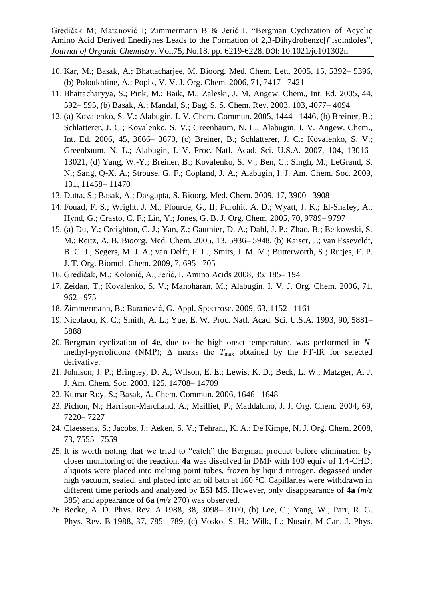- 10. Kar, M.; Basak, A.; Bhattacharjee, M. Bioorg. Med. Chem. Lett. 2005, 15, 5392– 5396, (b) Poloukhtine, A.; Popik, V. V. J. Org. Chem. 2006, 71, 7417– 7421
- 11. Bhattacharyya, S.; Pink, M.; Baik, M.; Zaleski, J. M. Angew. Chem., Int. Ed. 2005, 44, 592– 595, (b) Basak, A.; Mandal, S.; Bag, S. S. Chem. Rev. 2003, 103, 4077– 4094
- 12. (a) Kovalenko, S. V.; Alabugin, I. V. Chem. Commun. 2005, 1444– 1446, (b) Breiner, B.; Schlatterer, J. C.; Kovalenko, S. V.; Greenbaum, N. L.; Alabugin, I. V. Angew. Chem., Int. Ed. 2006, 45, 3666– 3670, (c) Breiner, B.; Schlatterer, J. C.; Kovalenko, S. V.; Greenbaum, N. L.; Alabugin, I. V. Proc. Natl. Acad. Sci. U.S.A. 2007, 104, 13016– 13021, (d) Yang, W.-Y.; Breiner, B.; Kovalenko, S. V.; Ben, C.; Singh, M.; LeGrand, S. N.; Sang, Q-X. A.; Strouse, G. F.; Copland, J. A.; Alabugin, I. J. Am. Chem. Soc. 2009, 131, 11458– 11470
- 13. Dutta, S.; Basak, A.; Dasgupta, S. Bioorg. Med. Chem. 2009, 17, 3900– 3908
- 14. Fouad, F. S.; Wright, J. M.; Plourde, G., II; Purohit, A. D.; Wyatt, J. K.; El-Shafey, A.; Hynd, G.; Crasto, C. F.; Lin, Y.; Jones, G. B. J. Org. Chem. 2005, 70, 9789– 9797
- 15. (a) Du, Y.; Creighton, C. J.; Yan, Z.; Gauthier, D. A.; Dahl, J. P.; Zhao, B.; Belkowski, S. M.; Reitz, A. B. Bioorg. Med. Chem. 2005, 13, 5936– 5948, (b) Kaiser, J.; van Esseveldt, B. C. J.; Segers, M. J. A.; van Delft, F. L.; Smits, J. M. M.; Butterworth, S.; Rutjes, F. P. J. T. Org. Biomol. Chem. 2009, 7, 695– 705
- 16. Gredičak, M.; Kolonić, A.; Jerić, I. Amino Acids 2008, 35, 185– 194
- 17. Zeidan, T.; Kovalenko, S. V.; Manoharan, M.; Alabugin, I. V. J. Org. Chem. 2006, 71, 962– 975
- 18. Zimmermann, B.; Baranović, G. Appl. Spectrosc. 2009, 63, 1152– 1161
- 19. Nicolaou, K. C.; Smith, A. L.; Yue, E. W. Proc. Natl. Acad. Sci. U.S.A. 1993, 90, 5881– 5888
- 20. Bergman cyclization of **4e**, due to the high onset temperature, was performed in *N*methyl-pyrrolidone (NMP);  $\Delta$  marks the  $T_{\text{max}}$  obtained by the FT-IR for selected derivative.
- 21. Johnson, J. P.; Bringley, D. A.; Wilson, E. E.; Lewis, K. D.; Beck, L. W.; Matzger, A. J. J. Am. Chem. Soc. 2003, 125, 14708– 14709
- 22. Kumar Roy, S.; Basak, A. Chem. Commun. 2006, 1646– 1648
- 23. Pichon, N.; Harrison-Marchand, A.; Mailliet, P.; Maddaluno, J. J. Org. Chem. 2004, 69, 7220– 7227
- 24. Claessens, S.; Jacobs, J.; Aeken, S. V.; Tehrani, K. A.; De Kimpe, N. J. Org. Chem. 2008, 73, 7555– 7559
- 25. It is worth noting that we tried to "catch" the Bergman product before elimination by closer monitoring of the reaction. **4a** was dissolved in DMF with 100 equiv of 1,4-CHD; aliquots were placed into melting point tubes, frozen by liquid nitrogen, degassed under high vacuum, sealed, and placed into an oil bath at 160 °C. Capillaries were withdrawn in different time periods and analyzed by ESI MS. However, only disappearance of **4a** (*m*/*z* 385) and appearance of **6a** (*m*/*z* 270) was observed.
- 26. Becke, A. D. Phys. Rev. A 1988, 38, 3098– 3100, (b) Lee, C.; Yang, W.; Parr, R. G. Phys. Rev. B 1988, 37, 785– 789, (c) Vosko, S. H.; Wilk, L.; Nusair, M Can. J. Phys.